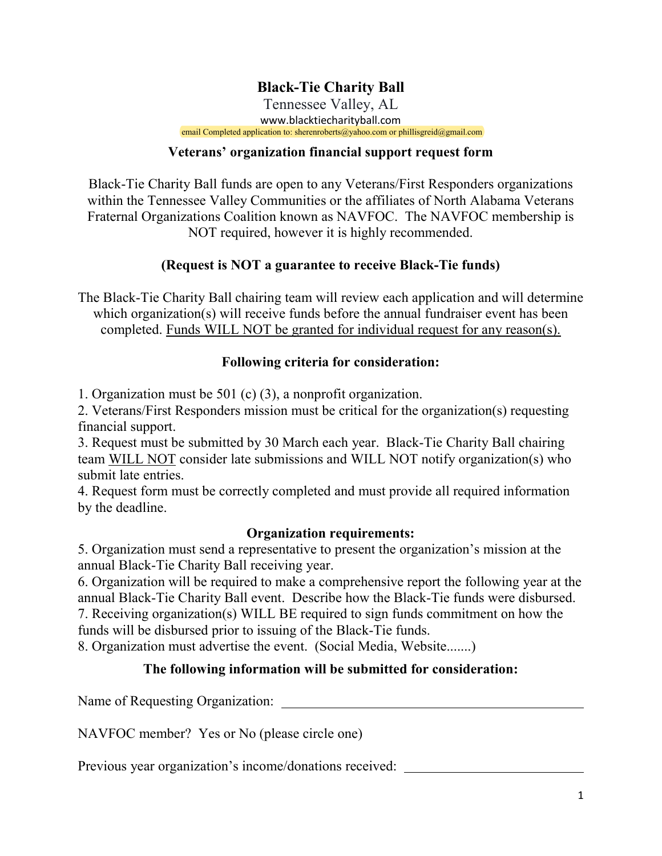# **Black-Tie Charity Ball**

Tennessee Valley, AL www.blacktiecharityball.com email Completed application to: sherenroberts@yahoo.com or phillisgreid@gmail.com

#### **Veterans' organization financial support request form**

Black-Tie Charity Ball funds are open to any Veterans/First Responders organizations within the Tennessee Valley Communities or the affiliates of North Alabama Veterans Fraternal Organizations Coalition known as NAVFOC. The NAVFOC membership is NOT required, however it is highly recommended.

## **(Request is NOT a guarantee to receive Black-Tie funds)**

The Black-Tie Charity Ball chairing team will review each application and will determine which organization(s) will receive funds before the annual fundraiser event has been completed. Funds WILL NOT be granted for individual request for any reason(s).

### **Following criteria for consideration:**

1. Organization must be 501 (c) (3), a nonprofit organization.

2. Veterans/First Responders mission must be critical for the organization(s) requesting financial support.

3. Request must be submitted by 30 March each year. Black-Tie Charity Ball chairing team WILL NOT consider late submissions and WILL NOT notify organization(s) who submit late entries.

4. Request form must be correctly completed and must provide all required information by the deadline.

### **Organization requirements:**

5. Organization must send a representative to present the organization's mission at the annual Black-Tie Charity Ball receiving year.

6. Organization will be required to make a comprehensive report the following year at the annual Black-Tie Charity Ball event. Describe how the Black-Tie funds were disbursed. 7. Receiving organization(s) WILL BE required to sign funds commitment on how the funds will be disbursed prior to issuing of the Black-Tie funds.

8. Organization must advertise the event. (Social Media, Website.......)

## **The following information will be submitted for consideration:**

Name of Requesting Organization:

NAVFOC member? Yes or No (please circle one)

Previous year organization's income/donations received: